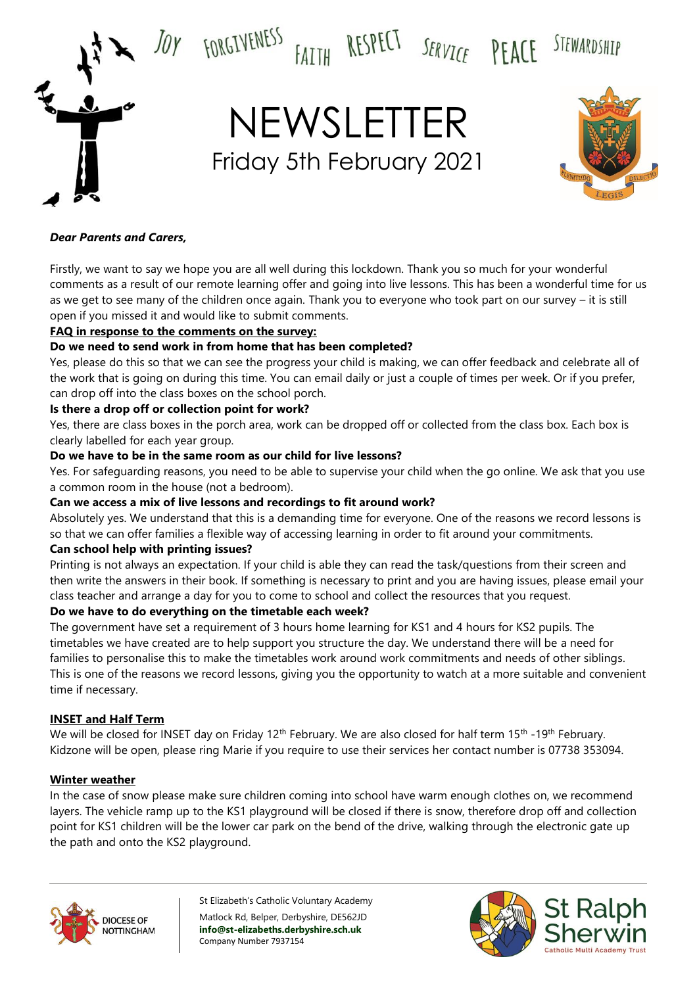



#### *Dear Parents and Carers,*

Firstly, we want to say we hope you are all well during this lockdown. Thank you so much for your wonderful comments as a result of our remote learning offer and going into live lessons. This has been a wonderful time for us as we get to see many of the children once again. Thank you to everyone who took part on our survey – it is still open if you missed it and would like to submit comments.

#### **FAQ in response to the comments on the survey:**

#### **Do we need to send work in from home that has been completed?**

Yes, please do this so that we can see the progress your child is making, we can offer feedback and celebrate all of the work that is going on during this time. You can email daily or just a couple of times per week. Or if you prefer, can drop off into the class boxes on the school porch.

#### **Is there a drop off or collection point for work?**

Yes, there are class boxes in the porch area, work can be dropped off or collected from the class box. Each box is clearly labelled for each year group.

#### **Do we have to be in the same room as our child for live lessons?**

Yes. For safeguarding reasons, you need to be able to supervise your child when the go online. We ask that you use a common room in the house (not a bedroom).

## **Can we access a mix of live lessons and recordings to fit around work?**

Absolutely yes. We understand that this is a demanding time for everyone. One of the reasons we record lessons is so that we can offer families a flexible way of accessing learning in order to fit around your commitments.

#### **Can school help with printing issues?**

Printing is not always an expectation. If your child is able they can read the task/questions from their screen and then write the answers in their book. If something is necessary to print and you are having issues, please email your class teacher and arrange a day for you to come to school and collect the resources that you request.

## **Do we have to do everything on the timetable each week?**

The government have set a requirement of 3 hours home learning for KS1 and 4 hours for KS2 pupils. The timetables we have created are to help support you structure the day. We understand there will be a need for families to personalise this to make the timetables work around work commitments and needs of other siblings. This is one of the reasons we record lessons, giving you the opportunity to watch at a more suitable and convenient time if necessary.

#### **INSET and Half Term**

We will be closed for INSET day on Friday 12<sup>th</sup> February. We are also closed for half term 15<sup>th</sup> -19<sup>th</sup> February. Kidzone will be open, please ring Marie if you require to use their services her contact number is 07738 353094.

#### **Winter weather**

In the case of snow please make sure children coming into school have warm enough clothes on, we recommend layers. The vehicle ramp up to the KS1 playground will be closed if there is snow, therefore drop off and collection point for KS1 children will be the lower car park on the bend of the drive, walking through the electronic gate up the path and onto the KS2 playground.



St Elizabeth's Catholic Voluntary Academy Matlock Rd, Belper, Derbyshire, DE562JD **info@st-elizabeths.derbyshire.sch.uk** Company Number 7937154

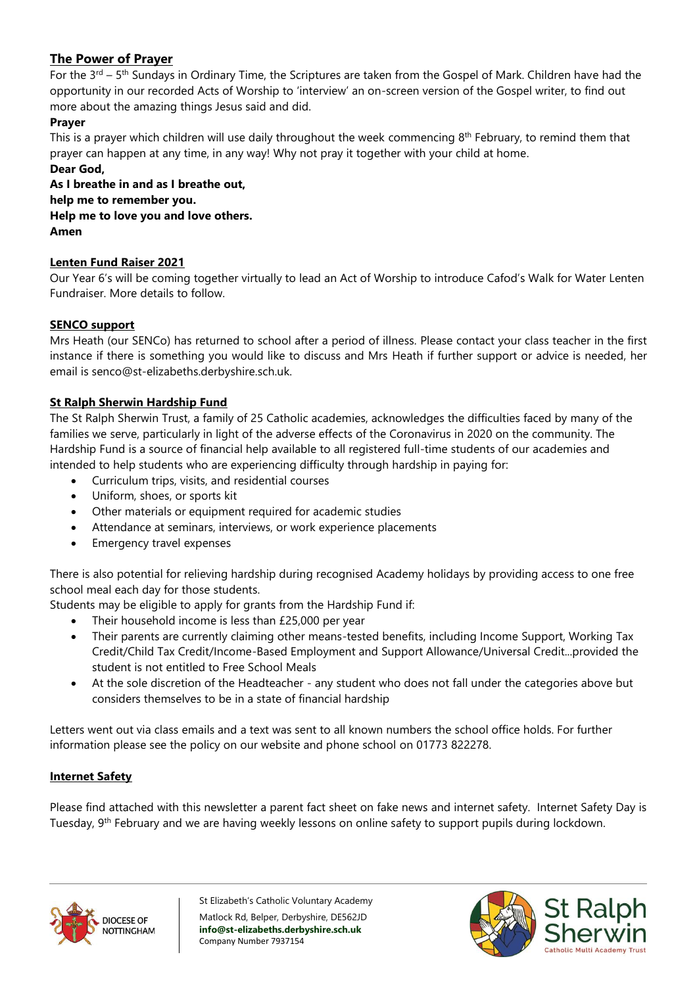## **The Power of Prayer**

For the 3<sup>rd</sup> – 5<sup>th</sup> Sundays in Ordinary Time, the Scriptures are taken from the Gospel of Mark. Children have had the opportunity in our recorded Acts of Worship to 'interview' an on-screen version of the Gospel writer, to find out more about the amazing things Jesus said and did.

## **Prayer**

This is a prayer which children will use daily throughout the week commencing 8<sup>th</sup> February, to remind them that prayer can happen at any time, in any way! Why not pray it together with your child at home. **Dear God,**

**As I breathe in and as I breathe out, help me to remember you. Help me to love you and love others. Amen**

## **Lenten Fund Raiser 2021**

Our Year 6's will be coming together virtually to lead an Act of Worship to introduce Cafod's Walk for Water Lenten Fundraiser. More details to follow.

## **SENCO support**

Mrs Heath (our SENCo) has returned to school after a period of illness. Please contact your class teacher in the first instance if there is something you would like to discuss and Mrs Heath if further support or advice is needed, her email is senco@st-elizabeths.derbyshire.sch.uk.

## **St Ralph Sherwin Hardship Fund**

The St Ralph Sherwin Trust, a family of 25 Catholic academies, acknowledges the difficulties faced by many of the families we serve, particularly in light of the adverse effects of the Coronavirus in 2020 on the community. The Hardship Fund is a source of financial help available to all registered full-time students of our academies and intended to help students who are experiencing difficulty through hardship in paying for:

- Curriculum trips, visits, and residential courses
- Uniform, shoes, or sports kit
- Other materials or equipment required for academic studies
- Attendance at seminars, interviews, or work experience placements
- **Emergency travel expenses**

There is also potential for relieving hardship during recognised Academy holidays by providing access to one free school meal each day for those students.

Students may be eligible to apply for grants from the Hardship Fund if:

- Their household income is less than £25,000 per year
- Their parents are currently claiming other means-tested benefits, including Income Support, Working Tax Credit/Child Tax Credit/Income-Based Employment and Support Allowance/Universal Credit...provided the student is not entitled to Free School Meals
- At the sole discretion of the Headteacher any student who does not fall under the categories above but considers themselves to be in a state of financial hardship

Letters went out via class emails and a text was sent to all known numbers the school office holds. For further information please see the policy on our website and phone school on 01773 822278.

## **Internet Safety**

Please find attached with this newsletter a parent fact sheet on fake news and internet safety. Internet Safety Day is Tuesday, 9<sup>th</sup> February and we are having weekly lessons on online safety to support pupils during lockdown.



St Elizabeth's Catholic Voluntary Academy Matlock Rd, Belper, Derbyshire, DE562JD **info@st-elizabeths.derbyshire.sch.uk** Company Number 7937154